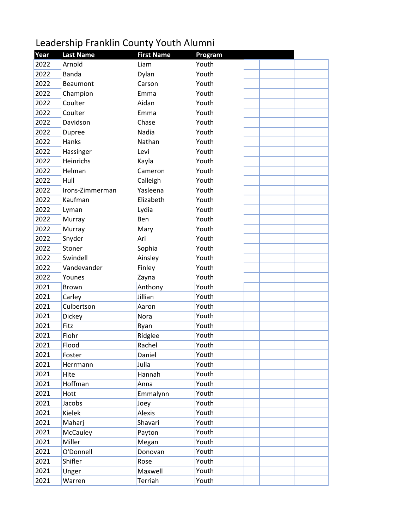## Leadership Franklin County Youth Alumni

| Year | <b>Last Name</b> | <b>First Name</b> | Program |  |
|------|------------------|-------------------|---------|--|
| 2022 | Arnold           | Liam              | Youth   |  |
| 2022 | Banda            | Dylan             | Youth   |  |
| 2022 | Beaumont         | Carson            | Youth   |  |
| 2022 | Champion         | Emma              | Youth   |  |
| 2022 | Coulter          | Aidan             | Youth   |  |
| 2022 | Coulter          | Emma              | Youth   |  |
| 2022 | Davidson         | Chase             | Youth   |  |
| 2022 | Dupree           | Nadia             | Youth   |  |
| 2022 | Hanks            | Nathan            | Youth   |  |
| 2022 | Hassinger        | Levi              | Youth   |  |
| 2022 | Heinrichs        | Kayla             | Youth   |  |
| 2022 | Helman           | Cameron           | Youth   |  |
| 2022 | Hull             | Calleigh          | Youth   |  |
| 2022 | Irons-Zimmerman  | Yasleena          | Youth   |  |
| 2022 | Kaufman          | Elizabeth         | Youth   |  |
| 2022 | Lyman            | Lydia             | Youth   |  |
| 2022 | Murray           | Ben               | Youth   |  |
| 2022 | Murray           | Mary              | Youth   |  |
| 2022 | Snyder           | Ari               | Youth   |  |
| 2022 | Stoner           | Sophia            | Youth   |  |
| 2022 | Swindell         | Ainsley           | Youth   |  |
| 2022 | Vandevander      | Finley            | Youth   |  |
| 2022 | Younes           | Zayna             | Youth   |  |
| 2021 | <b>Brown</b>     | Anthony           | Youth   |  |
| 2021 | Carley           | Jillian           | Youth   |  |
| 2021 | Culbertson       | Aaron             | Youth   |  |
| 2021 | Dickey           | Nora              | Youth   |  |
| 2021 | Fitz             | Ryan              | Youth   |  |
| 2021 | Flohr            | Ridglee           | Youth   |  |
| 2021 | Flood            | Rachel            | Youth   |  |
| 2021 | Foster           | Daniel            | Youth   |  |
| 2021 | Herrmann         | Julia             | Youth   |  |
| 2021 | Hite             | Hannah            | Youth   |  |
| 2021 | Hoffman          | Anna              | Youth   |  |
| 2021 | Hott             | Emmalynn          | Youth   |  |
| 2021 | Jacobs           | Joey              | Youth   |  |
| 2021 | Kielek           | Alexis            | Youth   |  |
| 2021 | Maharj           | Shavari           | Youth   |  |
| 2021 | McCauley         | Payton            | Youth   |  |
| 2021 | Miller           | Megan             | Youth   |  |
| 2021 | O'Donnell        | Donovan           | Youth   |  |
| 2021 | Shifler          | Rose              | Youth   |  |
| 2021 | Unger            | Maxwell           | Youth   |  |
| 2021 | Warren           | Terriah           | Youth   |  |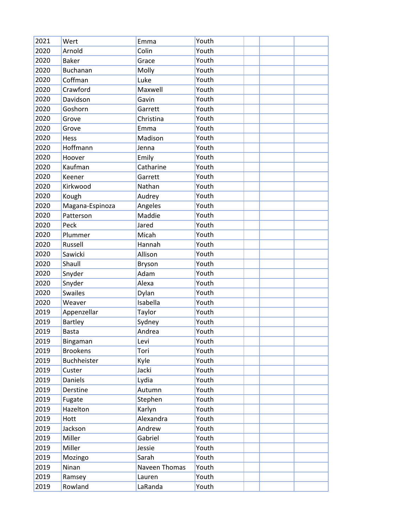| 2021 | Wert            | Emma          | Youth |  |  |
|------|-----------------|---------------|-------|--|--|
| 2020 | Arnold          | Colin         | Youth |  |  |
| 2020 | <b>Baker</b>    | Grace         | Youth |  |  |
| 2020 | <b>Buchanan</b> | Molly         | Youth |  |  |
| 2020 | Coffman         | Luke          | Youth |  |  |
| 2020 | Crawford        | Maxwell       | Youth |  |  |
| 2020 | Davidson        | Gavin         | Youth |  |  |
| 2020 | Goshorn         | Garrett       | Youth |  |  |
| 2020 | Grove           | Christina     | Youth |  |  |
| 2020 | Grove           | Emma          | Youth |  |  |
| 2020 | Hess            | Madison       | Youth |  |  |
| 2020 | Hoffmann        | Jenna         | Youth |  |  |
| 2020 | Hoover          | Emily         | Youth |  |  |
| 2020 | Kaufman         | Catharine     | Youth |  |  |
| 2020 | Keener          | Garrett       | Youth |  |  |
| 2020 | Kirkwood        | Nathan        | Youth |  |  |
| 2020 | Kough           | Audrey        | Youth |  |  |
| 2020 | Magana-Espinoza | Angeles       | Youth |  |  |
| 2020 | Patterson       | Maddie        | Youth |  |  |
| 2020 | Peck            | Jared         | Youth |  |  |
| 2020 | Plummer         | Micah         | Youth |  |  |
| 2020 | Russell         | Hannah        | Youth |  |  |
| 2020 | Sawicki         | Allison       | Youth |  |  |
| 2020 | Shaull          | Bryson        | Youth |  |  |
| 2020 | Snyder          | Adam          | Youth |  |  |
| 2020 | Snyder          | Alexa         | Youth |  |  |
| 2020 | <b>Swailes</b>  | Dylan         | Youth |  |  |
| 2020 | Weaver          | Isabella      | Youth |  |  |
| 2019 | Appenzellar     | Taylor        | Youth |  |  |
| 2019 | <b>Bartley</b>  | Sydney        | Youth |  |  |
| 2019 | <b>Basta</b>    | Andrea        | Youth |  |  |
| 2019 | Bingaman        | Levi          | Youth |  |  |
| 2019 | <b>Brookens</b> | Tori          | Youth |  |  |
| 2019 | Buchheister     | Kyle          | Youth |  |  |
| 2019 | Custer          | Jacki         | Youth |  |  |
| 2019 | Daniels         | Lydia         | Youth |  |  |
| 2019 | Derstine        | Autumn        | Youth |  |  |
| 2019 | Fugate          | Stephen       | Youth |  |  |
| 2019 | Hazelton        | Karlyn        | Youth |  |  |
| 2019 | Hott            | Alexandra     | Youth |  |  |
| 2019 | Jackson         | Andrew        | Youth |  |  |
| 2019 | Miller          | Gabriel       | Youth |  |  |
| 2019 | Miller          | Jessie        | Youth |  |  |
| 2019 | Mozingo         | Sarah         | Youth |  |  |
| 2019 | Ninan           | Naveen Thomas | Youth |  |  |
| 2019 | Ramsey          | Lauren        | Youth |  |  |
| 2019 | Rowland         | LaRanda       | Youth |  |  |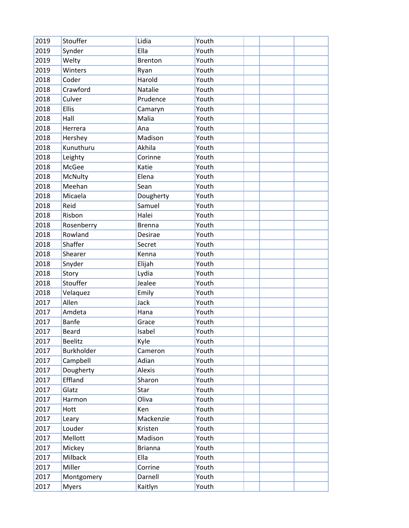| 2019 | Stouffer          | Lidia          | Youth |  |  |
|------|-------------------|----------------|-------|--|--|
| 2019 | Synder            | Ella           | Youth |  |  |
| 2019 | Welty             | <b>Brenton</b> | Youth |  |  |
| 2019 | Winters           | Ryan           | Youth |  |  |
| 2018 | Coder             | Harold         | Youth |  |  |
| 2018 | Crawford          | Natalie        | Youth |  |  |
| 2018 | Culver            | Prudence       | Youth |  |  |
| 2018 | Ellis             | Camaryn        | Youth |  |  |
| 2018 | Hall              | Malia          | Youth |  |  |
| 2018 | Herrera           | Ana            | Youth |  |  |
| 2018 | Hershey           | Madison        | Youth |  |  |
| 2018 | Kunuthuru         | Akhila         | Youth |  |  |
| 2018 | Leighty           | Corinne        | Youth |  |  |
| 2018 | McGee             | Katie          | Youth |  |  |
| 2018 | McNulty           | Elena          | Youth |  |  |
| 2018 | Meehan            | Sean           | Youth |  |  |
| 2018 | Micaela           | Dougherty      | Youth |  |  |
| 2018 | Reid              | Samuel         | Youth |  |  |
| 2018 | Risbon            | Halei          | Youth |  |  |
| 2018 | Rosenberry        | <b>Brenna</b>  | Youth |  |  |
| 2018 | Rowland           | Desirae        | Youth |  |  |
| 2018 | Shaffer           | Secret         | Youth |  |  |
| 2018 | Shearer           | Kenna          | Youth |  |  |
| 2018 | Snyder            | Elijah         | Youth |  |  |
| 2018 | Story             | Lydia          | Youth |  |  |
| 2018 | Stouffer          | Jealee         | Youth |  |  |
| 2018 | Velaquez          | Emily          | Youth |  |  |
| 2017 | Allen             | Jack           | Youth |  |  |
| 2017 | Amdeta            | Hana           | Youth |  |  |
| 2017 | <b>Banfe</b>      | Grace          | Youth |  |  |
| 2017 | <b>Beard</b>      | Isabel         | Youth |  |  |
| 2017 | <b>Beelitz</b>    | Kyle           | Youth |  |  |
| 2017 | <b>Burkholder</b> | Cameron        | Youth |  |  |
| 2017 | Campbell          | Adian          | Youth |  |  |
| 2017 | Dougherty         | Alexis         | Youth |  |  |
| 2017 | Effland           | Sharon         | Youth |  |  |
| 2017 | Glatz             | Star           | Youth |  |  |
| 2017 | Harmon            | Oliva          | Youth |  |  |
| 2017 | Hott              | Ken            | Youth |  |  |
| 2017 | Leary             | Mackenzie      | Youth |  |  |
| 2017 | Louder            | Kristen        | Youth |  |  |
| 2017 | Mellott           | Madison        | Youth |  |  |
| 2017 | Mickey            | <b>Brianna</b> | Youth |  |  |
| 2017 | Milback           | Ella           | Youth |  |  |
| 2017 | Miller            | Corrine        | Youth |  |  |
| 2017 | Montgomery        | Darnell        | Youth |  |  |
| 2017 | <b>Myers</b>      | Kaitlyn        | Youth |  |  |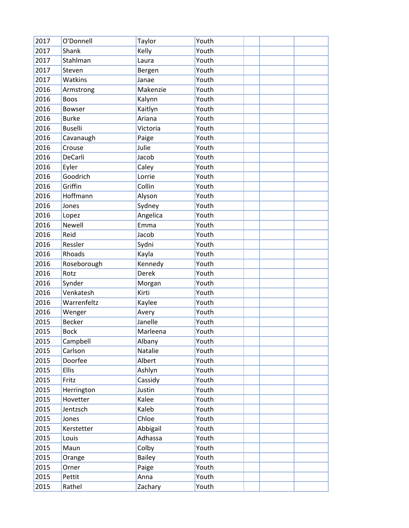| 2017 | O'Donnell      | Taylor        | Youth |  |  |
|------|----------------|---------------|-------|--|--|
| 2017 | Shank          | Kelly         | Youth |  |  |
| 2017 | Stahlman       | Laura         | Youth |  |  |
| 2017 | Steven         | Bergen        | Youth |  |  |
| 2017 | Watkins        | Janae         | Youth |  |  |
| 2016 | Armstrong      | Makenzie      | Youth |  |  |
| 2016 | Boos           | Kalynn        | Youth |  |  |
| 2016 | <b>Bowser</b>  | Kaitlyn       | Youth |  |  |
| 2016 | <b>Burke</b>   | Ariana        | Youth |  |  |
| 2016 | <b>Buselli</b> | Victoria      | Youth |  |  |
| 2016 | Cavanaugh      | Paige         | Youth |  |  |
| 2016 | Crouse         | Julie         | Youth |  |  |
| 2016 | DeCarli        | Jacob         | Youth |  |  |
| 2016 | Eyler          | Caley         | Youth |  |  |
| 2016 | Goodrich       | Lorrie        | Youth |  |  |
| 2016 | Griffin        | Collin        | Youth |  |  |
| 2016 | Hoffmann       | Alyson        | Youth |  |  |
| 2016 | Jones          | Sydney        | Youth |  |  |
| 2016 | Lopez          | Angelica      | Youth |  |  |
| 2016 | <b>Newell</b>  | Emma          | Youth |  |  |
| 2016 | Reid           | Jacob         | Youth |  |  |
| 2016 | Ressler        | Sydni         | Youth |  |  |
| 2016 | Rhoads         | Kayla         | Youth |  |  |
| 2016 | Roseborough    | Kennedy       | Youth |  |  |
| 2016 | Rotz           | Derek         | Youth |  |  |
| 2016 | Synder         | Morgan        | Youth |  |  |
| 2016 | Venkatesh      | Kirti         | Youth |  |  |
| 2016 | Warrenfeltz    | Kaylee        | Youth |  |  |
| 2016 | Wenger         | Avery         | Youth |  |  |
| 2015 | <b>Becker</b>  | Janelle       | Youth |  |  |
| 2015 | <b>Bock</b>    | Marleena      | Youth |  |  |
| 2015 | Campbell       | Albany        | Youth |  |  |
| 2015 | Carlson        | Natalie       | Youth |  |  |
| 2015 | Doorfee        | Albert        | Youth |  |  |
| 2015 | <b>Ellis</b>   | Ashlyn        | Youth |  |  |
| 2015 | Fritz          | Cassidy       | Youth |  |  |
| 2015 | Herrington     | Justin        | Youth |  |  |
| 2015 | Hovetter       | Kalee         | Youth |  |  |
| 2015 | Jentzsch       | Kaleb         | Youth |  |  |
| 2015 | Jones          | Chloe         | Youth |  |  |
| 2015 | Kerstetter     | Abbigail      | Youth |  |  |
| 2015 | Louis          | Adhassa       | Youth |  |  |
| 2015 | Maun           | Colby         | Youth |  |  |
| 2015 | Orange         | <b>Bailey</b> | Youth |  |  |
| 2015 | Orner          | Paige         | Youth |  |  |
| 2015 | Pettit         | Anna          | Youth |  |  |
| 2015 | Rathel         | Zachary       | Youth |  |  |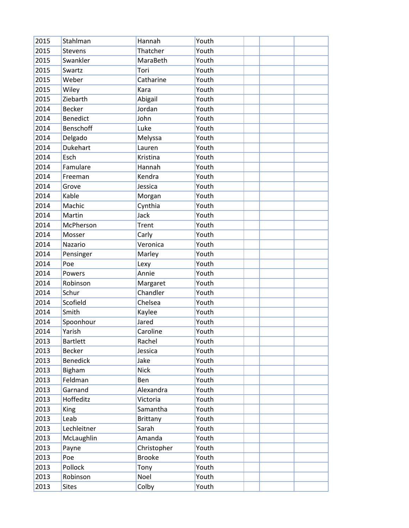| 2015 | Stahlman        | Hannah          | Youth |  |  |
|------|-----------------|-----------------|-------|--|--|
| 2015 | Stevens         | Thatcher        | Youth |  |  |
| 2015 | Swankler        | MaraBeth        | Youth |  |  |
| 2015 | Swartz          | Tori            | Youth |  |  |
| 2015 | Weber           | Catharine       | Youth |  |  |
| 2015 | Wiley           | Kara            | Youth |  |  |
| 2015 | Ziebarth        | Abigail         | Youth |  |  |
| 2014 | <b>Becker</b>   | Jordan          | Youth |  |  |
| 2014 | <b>Benedict</b> | John            | Youth |  |  |
| 2014 | Benschoff       | Luke            | Youth |  |  |
| 2014 | Delgado         | Melyssa         | Youth |  |  |
| 2014 | Dukehart        | Lauren          | Youth |  |  |
| 2014 | Esch            | Kristina        | Youth |  |  |
| 2014 | Famulare        | Hannah          | Youth |  |  |
| 2014 | Freeman         | Kendra          | Youth |  |  |
| 2014 | Grove           | Jessica         | Youth |  |  |
| 2014 | Kable           | Morgan          | Youth |  |  |
| 2014 | Machic          | Cynthia         | Youth |  |  |
| 2014 | Martin          | Jack            | Youth |  |  |
| 2014 | McPherson       | Trent           | Youth |  |  |
| 2014 | Mosser          | Carly           | Youth |  |  |
| 2014 | Nazario         | Veronica        | Youth |  |  |
| 2014 | Pensinger       | Marley          | Youth |  |  |
| 2014 | Poe             | Lexy            | Youth |  |  |
| 2014 | Powers          | Annie           | Youth |  |  |
| 2014 | Robinson        | Margaret        | Youth |  |  |
| 2014 | Schur           | Chandler        | Youth |  |  |
| 2014 | Scofield        | Chelsea         | Youth |  |  |
| 2014 | Smith           | Kaylee          | Youth |  |  |
| 2014 | Spoonhour       | Jared           | Youth |  |  |
| 2014 | Yarish          | Caroline        | Youth |  |  |
| 2013 | <b>Bartlett</b> | Rachel          | Youth |  |  |
| 2013 | <b>Becker</b>   | Jessica         | Youth |  |  |
| 2013 | <b>Benedick</b> | Jake            | Youth |  |  |
| 2013 | Bigham          | <b>Nick</b>     | Youth |  |  |
| 2013 | Feldman         | Ben             | Youth |  |  |
| 2013 | Garnand         | Alexandra       | Youth |  |  |
| 2013 | Hoffeditz       | Victoria        | Youth |  |  |
| 2013 | <b>King</b>     | Samantha        | Youth |  |  |
| 2013 | Leab            | <b>Brittany</b> | Youth |  |  |
| 2013 | Lechleitner     | Sarah           | Youth |  |  |
| 2013 | McLaughlin      | Amanda          | Youth |  |  |
| 2013 | Payne           | Christopher     | Youth |  |  |
| 2013 | Poe             | <b>Brooke</b>   | Youth |  |  |
| 2013 | Pollock         | Tony            | Youth |  |  |
| 2013 | Robinson        | Noel            | Youth |  |  |
| 2013 | <b>Sites</b>    | Colby           | Youth |  |  |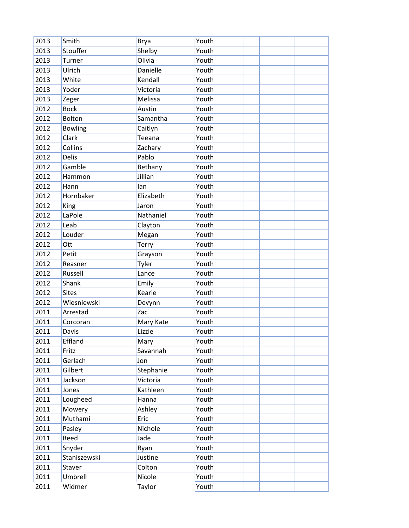| 2013 | Smith          | <b>Brya</b> | Youth |  |  |
|------|----------------|-------------|-------|--|--|
| 2013 | Stouffer       | Shelby      | Youth |  |  |
| 2013 | Turner         | Olivia      | Youth |  |  |
| 2013 | Ulrich         | Danielle    | Youth |  |  |
| 2013 | White          | Kendall     | Youth |  |  |
| 2013 | Yoder          | Victoria    | Youth |  |  |
| 2013 | Zeger          | Melissa     | Youth |  |  |
| 2012 | <b>Bock</b>    | Austin      | Youth |  |  |
| 2012 | Bolton         | Samantha    | Youth |  |  |
| 2012 | <b>Bowling</b> | Caitlyn     | Youth |  |  |
| 2012 | Clark          | Teeana      | Youth |  |  |
| 2012 | Collins        | Zachary     | Youth |  |  |
| 2012 | <b>Delis</b>   | Pablo       | Youth |  |  |
| 2012 | Gamble         | Bethany     | Youth |  |  |
| 2012 | Hammon         | Jillian     | Youth |  |  |
| 2012 | Hann           | lan         | Youth |  |  |
| 2012 | Hornbaker      | Elizabeth   | Youth |  |  |
| 2012 | King           | Jaron       | Youth |  |  |
| 2012 | LaPole         | Nathaniel   | Youth |  |  |
| 2012 | Leab           | Clayton     | Youth |  |  |
| 2012 | Louder         | Megan       | Youth |  |  |
| 2012 | Ott            | Terry       | Youth |  |  |
| 2012 | Petit          | Grayson     | Youth |  |  |
| 2012 | Reasner        | Tyler       | Youth |  |  |
| 2012 | Russell        | Lance       | Youth |  |  |
| 2012 | Shank          | Emily       | Youth |  |  |
| 2012 | <b>Sites</b>   | Kearie      | Youth |  |  |
| 2012 | Wiesniewski    | Devynn      | Youth |  |  |
| 2011 | Arrestad       | Zac         | Youth |  |  |
| 2011 | Corcoran       | Mary Kate   | Youth |  |  |
| 2011 | Davis          | Lizzie      | Youth |  |  |
| 2011 | Effland        | Mary        | Youth |  |  |
| 2011 | Fritz          | Savannah    | Youth |  |  |
| 2011 | Gerlach        | Jon         | Youth |  |  |
| 2011 | Gilbert        | Stephanie   | Youth |  |  |
| 2011 | Jackson        | Victoria    | Youth |  |  |
| 2011 | Jones          | Kathleen    | Youth |  |  |
| 2011 | Lougheed       | Hanna       | Youth |  |  |
| 2011 | Mowery         | Ashley      | Youth |  |  |
| 2011 | Muthami        | Eric        | Youth |  |  |
| 2011 | Pasley         | Nichole     | Youth |  |  |
| 2011 | Reed           | Jade        | Youth |  |  |
| 2011 | Snyder         | Ryan        | Youth |  |  |
| 2011 | Staniszewski   | Justine     | Youth |  |  |
| 2011 | Staver         | Colton      | Youth |  |  |
| 2011 | Umbrell        | Nicole      | Youth |  |  |
| 2011 | Widmer         | Taylor      | Youth |  |  |